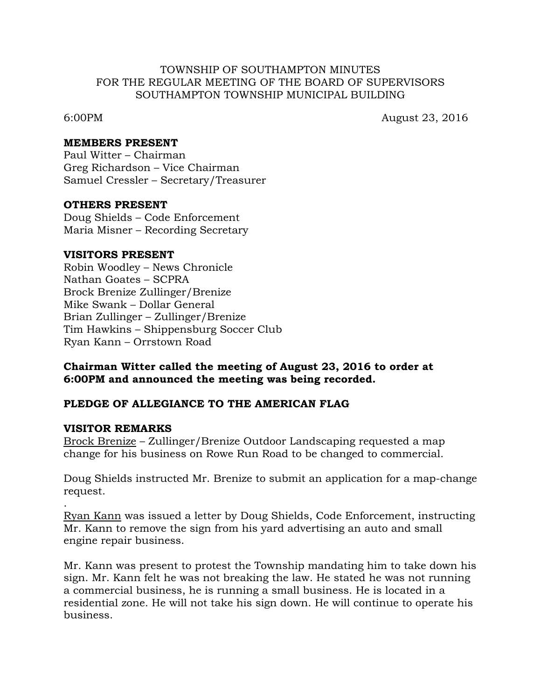## TOWNSHIP OF SOUTHAMPTON MINUTES FOR THE REGULAR MEETING OF THE BOARD OF SUPERVISORS SOUTHAMPTON TOWNSHIP MUNICIPAL BUILDING

6:00PM August 23, 2016

#### **MEMBERS PRESENT**

Paul Witter – Chairman Greg Richardson – Vice Chairman Samuel Cressler – Secretary/Treasurer

### **OTHERS PRESENT**

Doug Shields – Code Enforcement Maria Misner – Recording Secretary

### **VISITORS PRESENT**

Robin Woodley – News Chronicle Nathan Goates – SCPRA Brock Brenize Zullinger/Brenize Mike Swank – Dollar General Brian Zullinger – Zullinger/Brenize Tim Hawkins – Shippensburg Soccer Club Ryan Kann – Orrstown Road

# **Chairman Witter called the meeting of August 23, 2016 to order at 6:00PM and announced the meeting was being recorded.**

# **PLEDGE OF ALLEGIANCE TO THE AMERICAN FLAG**

#### **VISITOR REMARKS**

.

Brock Brenize – Zullinger/Brenize Outdoor Landscaping requested a map change for his business on Rowe Run Road to be changed to commercial.

Doug Shields instructed Mr. Brenize to submit an application for a map-change request.

Ryan Kann was issued a letter by Doug Shields, Code Enforcement, instructing Mr. Kann to remove the sign from his yard advertising an auto and small engine repair business.

Mr. Kann was present to protest the Township mandating him to take down his sign. Mr. Kann felt he was not breaking the law. He stated he was not running a commercial business, he is running a small business. He is located in a residential zone. He will not take his sign down. He will continue to operate his business.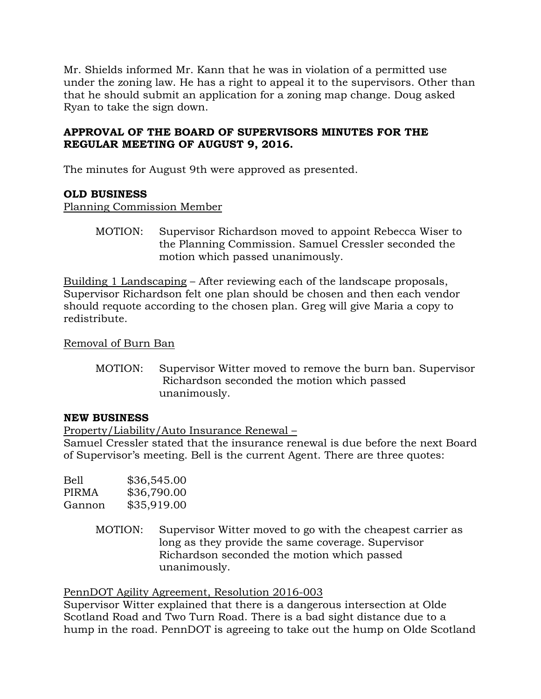Mr. Shields informed Mr. Kann that he was in violation of a permitted use under the zoning law. He has a right to appeal it to the supervisors. Other than that he should submit an application for a zoning map change. Doug asked Ryan to take the sign down.

# **APPROVAL OF THE BOARD OF SUPERVISORS MINUTES FOR THE REGULAR MEETING OF AUGUST 9, 2016.**

The minutes for August 9th were approved as presented.

# **OLD BUSINESS**

Planning Commission Member

MOTION: Supervisor Richardson moved to appoint Rebecca Wiser to the Planning Commission. Samuel Cressler seconded the motion which passed unanimously.

Building 1 Landscaping – After reviewing each of the landscape proposals, Supervisor Richardson felt one plan should be chosen and then each vendor should requote according to the chosen plan. Greg will give Maria a copy to redistribute.

Removal of Burn Ban

MOTION: Supervisor Witter moved to remove the burn ban. Supervisor Richardson seconded the motion which passed unanimously.

# **NEW BUSINESS**

Property/Liability/Auto Insurance Renewal –

Samuel Cressler stated that the insurance renewal is due before the next Board of Supervisor's meeting. Bell is the current Agent. There are three quotes:

| Bell   | \$36,545.00 |
|--------|-------------|
| PIRMA  | \$36,790.00 |
| Gannon | \$35,919.00 |

MOTION: Supervisor Witter moved to go with the cheapest carrier as long as they provide the same coverage. Supervisor Richardson seconded the motion which passed unanimously.

PennDOT Agility Agreement, Resolution 2016-003

Supervisor Witter explained that there is a dangerous intersection at Olde Scotland Road and Two Turn Road. There is a bad sight distance due to a hump in the road. PennDOT is agreeing to take out the hump on Olde Scotland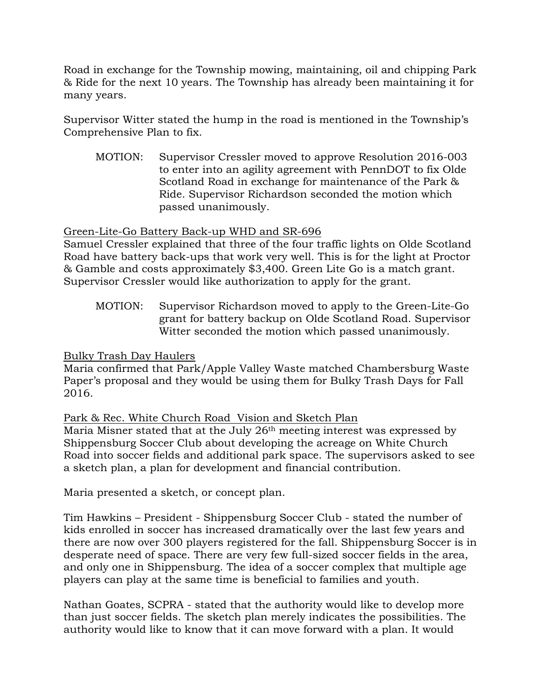Road in exchange for the Township mowing, maintaining, oil and chipping Park & Ride for the next 10 years. The Township has already been maintaining it for many years.

Supervisor Witter stated the hump in the road is mentioned in the Township's Comprehensive Plan to fix.

MOTION: Supervisor Cressler moved to approve Resolution 2016-003 to enter into an agility agreement with PennDOT to fix Olde Scotland Road in exchange for maintenance of the Park & Ride. Supervisor Richardson seconded the motion which passed unanimously.

# Green-Lite-Go Battery Back-up WHD and SR-696

Samuel Cressler explained that three of the four traffic lights on Olde Scotland Road have battery back-ups that work very well. This is for the light at Proctor & Gamble and costs approximately \$3,400. Green Lite Go is a match grant. Supervisor Cressler would like authorization to apply for the grant.

MOTION: Supervisor Richardson moved to apply to the Green-Lite-Go grant for battery backup on Olde Scotland Road. Supervisor Witter seconded the motion which passed unanimously.

# Bulky Trash Day Haulers

Maria confirmed that Park/Apple Valley Waste matched Chambersburg Waste Paper's proposal and they would be using them for Bulky Trash Days for Fall 2016.

# Park & Rec. White Church Road Vision and Sketch Plan

Maria Misner stated that at the July 26th meeting interest was expressed by Shippensburg Soccer Club about developing the acreage on White Church Road into soccer fields and additional park space. The supervisors asked to see a sketch plan, a plan for development and financial contribution.

Maria presented a sketch, or concept plan.

Tim Hawkins – President - Shippensburg Soccer Club - stated the number of kids enrolled in soccer has increased dramatically over the last few years and there are now over 300 players registered for the fall. Shippensburg Soccer is in desperate need of space. There are very few full-sized soccer fields in the area, and only one in Shippensburg. The idea of a soccer complex that multiple age players can play at the same time is beneficial to families and youth.

Nathan Goates, SCPRA - stated that the authority would like to develop more than just soccer fields. The sketch plan merely indicates the possibilities. The authority would like to know that it can move forward with a plan. It would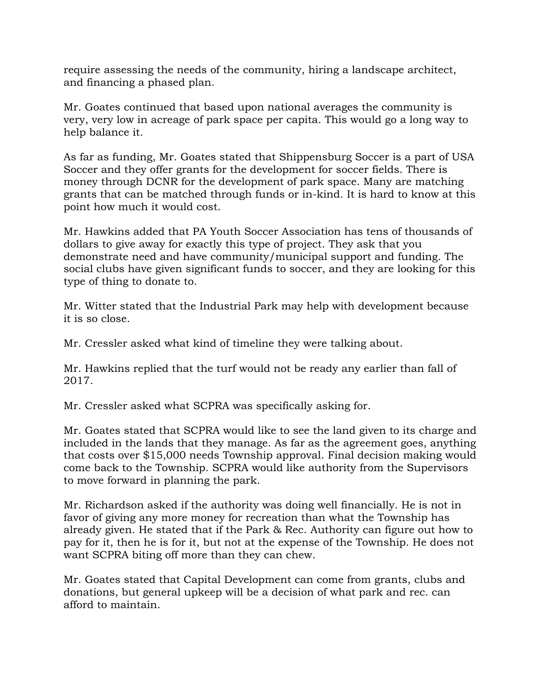require assessing the needs of the community, hiring a landscape architect, and financing a phased plan.

Mr. Goates continued that based upon national averages the community is very, very low in acreage of park space per capita. This would go a long way to help balance it.

As far as funding, Mr. Goates stated that Shippensburg Soccer is a part of USA Soccer and they offer grants for the development for soccer fields. There is money through DCNR for the development of park space. Many are matching grants that can be matched through funds or in-kind. It is hard to know at this point how much it would cost.

Mr. Hawkins added that PA Youth Soccer Association has tens of thousands of dollars to give away for exactly this type of project. They ask that you demonstrate need and have community/municipal support and funding. The social clubs have given significant funds to soccer, and they are looking for this type of thing to donate to.

Mr. Witter stated that the Industrial Park may help with development because it is so close.

Mr. Cressler asked what kind of timeline they were talking about.

Mr. Hawkins replied that the turf would not be ready any earlier than fall of 2017.

Mr. Cressler asked what SCPRA was specifically asking for.

Mr. Goates stated that SCPRA would like to see the land given to its charge and included in the lands that they manage. As far as the agreement goes, anything that costs over \$15,000 needs Township approval. Final decision making would come back to the Township. SCPRA would like authority from the Supervisors to move forward in planning the park.

Mr. Richardson asked if the authority was doing well financially. He is not in favor of giving any more money for recreation than what the Township has already given. He stated that if the Park & Rec. Authority can figure out how to pay for it, then he is for it, but not at the expense of the Township. He does not want SCPRA biting off more than they can chew.

Mr. Goates stated that Capital Development can come from grants, clubs and donations, but general upkeep will be a decision of what park and rec. can afford to maintain.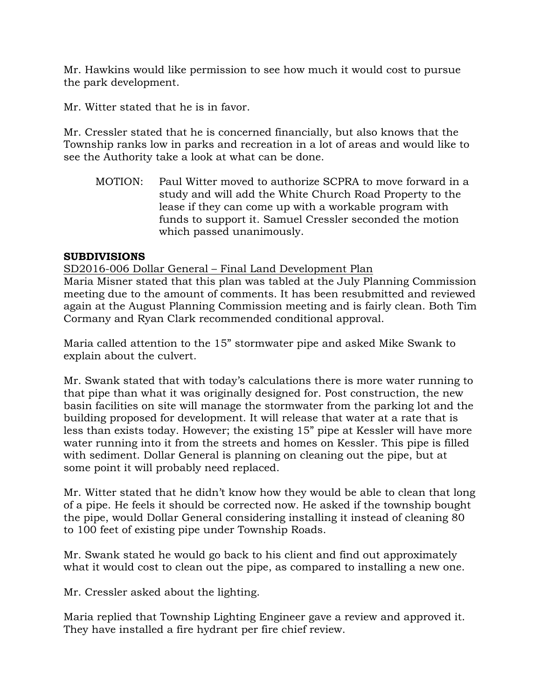Mr. Hawkins would like permission to see how much it would cost to pursue the park development.

Mr. Witter stated that he is in favor.

Mr. Cressler stated that he is concerned financially, but also knows that the Township ranks low in parks and recreation in a lot of areas and would like to see the Authority take a look at what can be done.

MOTION: Paul Witter moved to authorize SCPRA to move forward in a study and will add the White Church Road Property to the lease if they can come up with a workable program with funds to support it. Samuel Cressler seconded the motion which passed unanimously.

# **SUBDIVISIONS**

### SD2016-006 Dollar General – Final Land Development Plan

Maria Misner stated that this plan was tabled at the July Planning Commission meeting due to the amount of comments. It has been resubmitted and reviewed again at the August Planning Commission meeting and is fairly clean. Both Tim Cormany and Ryan Clark recommended conditional approval.

Maria called attention to the 15" stormwater pipe and asked Mike Swank to explain about the culvert.

Mr. Swank stated that with today's calculations there is more water running to that pipe than what it was originally designed for. Post construction, the new basin facilities on site will manage the stormwater from the parking lot and the building proposed for development. It will release that water at a rate that is less than exists today. However; the existing 15" pipe at Kessler will have more water running into it from the streets and homes on Kessler. This pipe is filled with sediment. Dollar General is planning on cleaning out the pipe, but at some point it will probably need replaced.

Mr. Witter stated that he didn't know how they would be able to clean that long of a pipe. He feels it should be corrected now. He asked if the township bought the pipe, would Dollar General considering installing it instead of cleaning 80 to 100 feet of existing pipe under Township Roads.

Mr. Swank stated he would go back to his client and find out approximately what it would cost to clean out the pipe, as compared to installing a new one.

Mr. Cressler asked about the lighting.

Maria replied that Township Lighting Engineer gave a review and approved it. They have installed a fire hydrant per fire chief review.